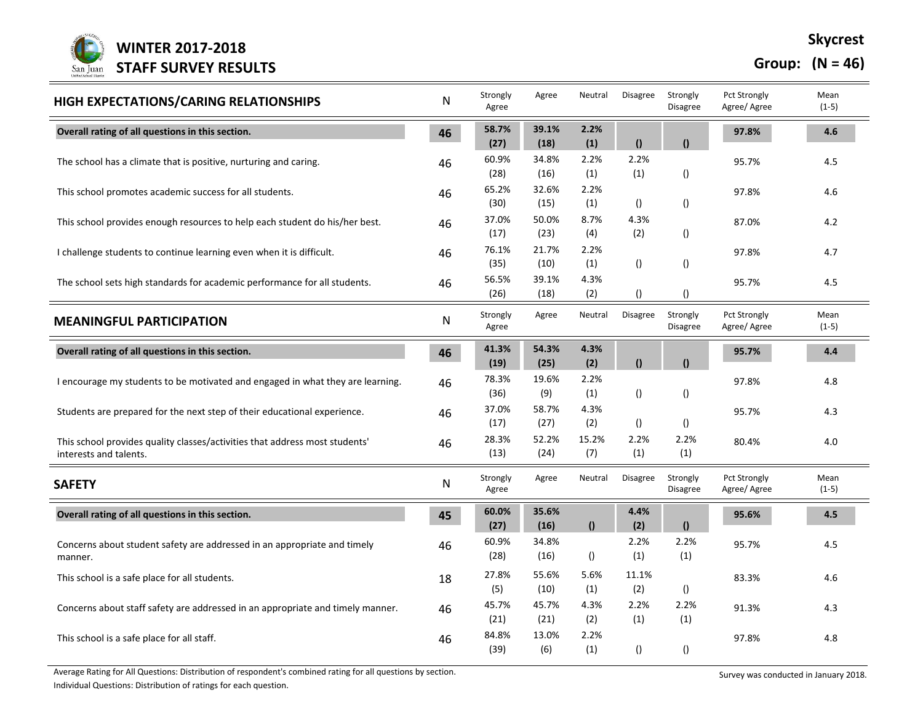

## **Group: (N = 46)**

| HIGH EXPECTATIONS/CARING RELATIONSHIPS                                                                | N  | Strongly<br>Agree | Agree         | Neutral          | Disagree              | Strongly<br><b>Disagree</b> | Pct Strongly<br>Agree/ Agree        | Mean<br>$(1-5)$ |
|-------------------------------------------------------------------------------------------------------|----|-------------------|---------------|------------------|-----------------------|-----------------------------|-------------------------------------|-----------------|
| Overall rating of all questions in this section.                                                      | 46 | 58.7%<br>(27)     | 39.1%<br>(18) | 2.2%<br>(1)      | $\theta$              | $\mathbf{r}$                | 97.8%                               | 4.6             |
| The school has a climate that is positive, nurturing and caring.                                      | 46 | 60.9%<br>(28)     | 34.8%<br>(16) | 2.2%<br>(1)      | 2.2%<br>(1)           | $\left( \right)$            | 95.7%                               | 4.5             |
| This school promotes academic success for all students.                                               | 46 | 65.2%<br>(30)     | 32.6%<br>(15) | 2.2%<br>(1)      | $\left( \right)$      | $\left( \right)$            | 97.8%                               | 4.6             |
| This school provides enough resources to help each student do his/her best.                           | 46 | 37.0%<br>(17)     | 50.0%<br>(23) | 8.7%<br>(4)      | 4.3%<br>(2)           | $\left( \right)$            | 87.0%                               | 4.2             |
| I challenge students to continue learning even when it is difficult.                                  | 46 | 76.1%<br>(35)     | 21.7%<br>(10) | 2.2%<br>(1)      | $\left( \right)$      | $\left( \right)$            | 97.8%                               | 4.7             |
| The school sets high standards for academic performance for all students.                             | 46 | 56.5%<br>(26)     | 39.1%<br>(18) | 4.3%<br>(2)      | $\left( \right)$      | $\left( \right)$            | 95.7%                               | 4.5             |
| <b>MEANINGFUL PARTICIPATION</b>                                                                       | N  | Strongly<br>Agree | Agree         | Neutral          | Disagree              | Strongly<br>Disagree        | Pct Strongly<br>Agree/ Agree        | Mean<br>$(1-5)$ |
| Overall rating of all questions in this section.                                                      | 46 | 41.3%<br>(19)     | 54.3%<br>(25) | 4.3%<br>(2)      | $\boldsymbol{\theta}$ | $\mathbf{r}$                | 95.7%                               | 4.4             |
| I encourage my students to be motivated and engaged in what they are learning.                        | 46 | 78.3%<br>(36)     | 19.6%<br>(9)  | 2.2%<br>(1)      | $\left( \right)$      | ()                          | 97.8%                               | 4.8             |
| Students are prepared for the next step of their educational experience.                              | 46 | 37.0%<br>(17)     | 58.7%<br>(27) | 4.3%<br>(2)      | $\left( \right)$      | $\left( \right)$            | 95.7%                               | 4.3             |
| This school provides quality classes/activities that address most students'<br>interests and talents. | 46 | 28.3%<br>(13)     | 52.2%<br>(24) | 15.2%<br>(7)     | 2.2%<br>(1)           | 2.2%<br>(1)                 | 80.4%                               | 4.0             |
| <b>SAFETY</b>                                                                                         | N  | Strongly<br>Agree | Agree         | Neutral          | Disagree              | Strongly<br><b>Disagree</b> | <b>Pct Strongly</b><br>Agree/ Agree | Mean<br>$(1-5)$ |
| Overall rating of all questions in this section.                                                      | 45 | 60.0%<br>(27)     | 35.6%<br>(16) | $\theta$         | 4.4%<br>(2)           | $\mathbf{r}$                | 95.6%                               | 4.5             |
| Concerns about student safety are addressed in an appropriate and timely<br>manner.                   | 46 | 60.9%<br>(28)     | 34.8%<br>(16) | $\left( \right)$ | 2.2%<br>(1)           | 2.2%<br>(1)                 | 95.7%                               | 4.5             |
| This school is a safe place for all students.                                                         | 18 | 27.8%<br>(5)      | 55.6%<br>(10) | 5.6%<br>(1)      | 11.1%<br>(2)          | $\left( \right)$            | 83.3%                               | 4.6             |
| Concerns about staff safety are addressed in an appropriate and timely manner.                        | 46 | 45.7%<br>(21)     | 45.7%<br>(21) | 4.3%<br>(2)      | 2.2%<br>(1)           | 2.2%<br>(1)                 | 91.3%                               | 4.3             |
| This school is a safe place for all staff.                                                            | 46 | 84.8%<br>(39)     | 13.0%<br>(6)  | 2.2%<br>(1)      | $\left( \right)$      | $\left( \right)$            | 97.8%                               | 4.8             |

Average Rating for All Questions: Distribution of respondent's combined rating for all questions by section.<br>
Survey was conducted in January 2018.

Individual Questions: Distribution of ratings for each question.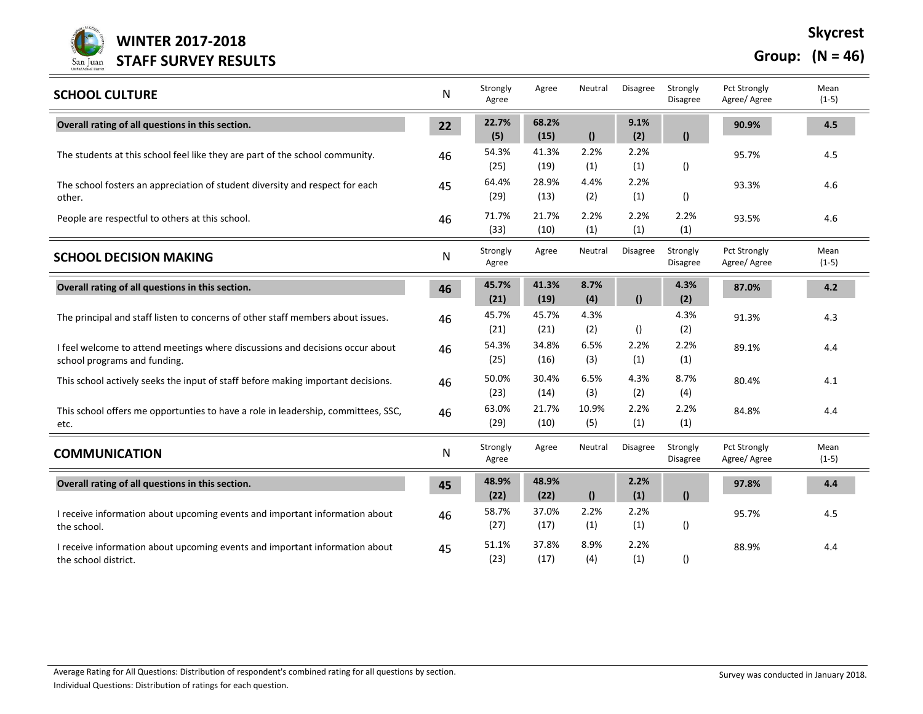

**Group: (N = 46)**

| <b>SCHOOL CULTURE</b>                                                                                         | ${\sf N}$ | Strongly<br>Agree | Agree         | Neutral      | Disagree        | Strongly<br><b>Disagree</b> | Pct Strongly<br>Agree/ Agree        | Mean<br>$(1-5)$ |
|---------------------------------------------------------------------------------------------------------------|-----------|-------------------|---------------|--------------|-----------------|-----------------------------|-------------------------------------|-----------------|
| Overall rating of all questions in this section.                                                              | 22        | 22.7%<br>(5)      | 68.2%<br>(15) | $\mathbf{r}$ | 9.1%<br>(2)     | $\theta$                    | 90.9%                               | 4.5             |
| The students at this school feel like they are part of the school community.                                  | 46        | 54.3%<br>(25)     | 41.3%<br>(19) | 2.2%<br>(1)  | 2.2%<br>(1)     | $\left( \right)$            | 95.7%                               | 4.5             |
| The school fosters an appreciation of student diversity and respect for each<br>other.                        | 45        | 64.4%<br>(29)     | 28.9%<br>(13) | 4.4%<br>(2)  | 2.2%<br>(1)     | $\left( \right)$            | 93.3%                               | 4.6             |
| People are respectful to others at this school.                                                               | 46        | 71.7%<br>(33)     | 21.7%<br>(10) | 2.2%<br>(1)  | 2.2%<br>(1)     | 2.2%<br>(1)                 | 93.5%                               | 4.6             |
| <b>SCHOOL DECISION MAKING</b>                                                                                 | N         | Strongly<br>Agree | Agree         | Neutral      | <b>Disagree</b> | Strongly<br><b>Disagree</b> | <b>Pct Strongly</b><br>Agree/ Agree | Mean<br>$(1-5)$ |
| Overall rating of all questions in this section.                                                              | 46        | 45.7%<br>(21)     | 41.3%<br>(19) | 8.7%<br>(4)  | $\Omega$        | 4.3%<br>(2)                 | 87.0%                               | 4.2             |
| The principal and staff listen to concerns of other staff members about issues.                               | 46        | 45.7%<br>(21)     | 45.7%<br>(21) | 4.3%<br>(2)  | ()              | 4.3%<br>(2)                 | 91.3%                               | 4.3             |
| I feel welcome to attend meetings where discussions and decisions occur about<br>school programs and funding. | 46        | 54.3%<br>(25)     | 34.8%<br>(16) | 6.5%<br>(3)  | 2.2%<br>(1)     | 2.2%<br>(1)                 | 89.1%                               | 4.4             |
| This school actively seeks the input of staff before making important decisions.                              | 46        | 50.0%<br>(23)     | 30.4%<br>(14) | 6.5%<br>(3)  | 4.3%<br>(2)     | 8.7%<br>(4)                 | 80.4%                               | 4.1             |
| This school offers me opportunties to have a role in leadership, committees, SSC,<br>etc.                     | 46        | 63.0%<br>(29)     | 21.7%<br>(10) | 10.9%<br>(5) | 2.2%<br>(1)     | 2.2%<br>(1)                 | 84.8%                               | 4.4             |
| <b>COMMUNICATION</b>                                                                                          | N         | Strongly<br>Agree | Agree         | Neutral      | <b>Disagree</b> | Strongly<br><b>Disagree</b> | Pct Strongly<br>Agree/ Agree        | Mean<br>$(1-5)$ |
| Overall rating of all questions in this section.                                                              | 45        | 48.9%<br>(22)     | 48.9%<br>(22) | $\Omega$     | 2.2%<br>(1)     | $\mathbf{r}$                | 97.8%                               | 4.4             |
| I receive information about upcoming events and important information about<br>the school.                    | 46        | 58.7%<br>(27)     | 37.0%<br>(17) | 2.2%<br>(1)  | 2.2%<br>(1)     | $\left( \right)$            | 95.7%                               | 4.5             |
| I receive information about upcoming events and important information about<br>the school district.           | 45        | 51.1%<br>(23)     | 37.8%<br>(17) | 8.9%<br>(4)  | 2.2%<br>(1)     | $\left( \right)$            | 88.9%                               | 4.4             |

Average Rating for All Questions: Distribution of respondent's combined rating for all questions by section.<br>
Survey was conducted in January 2018.